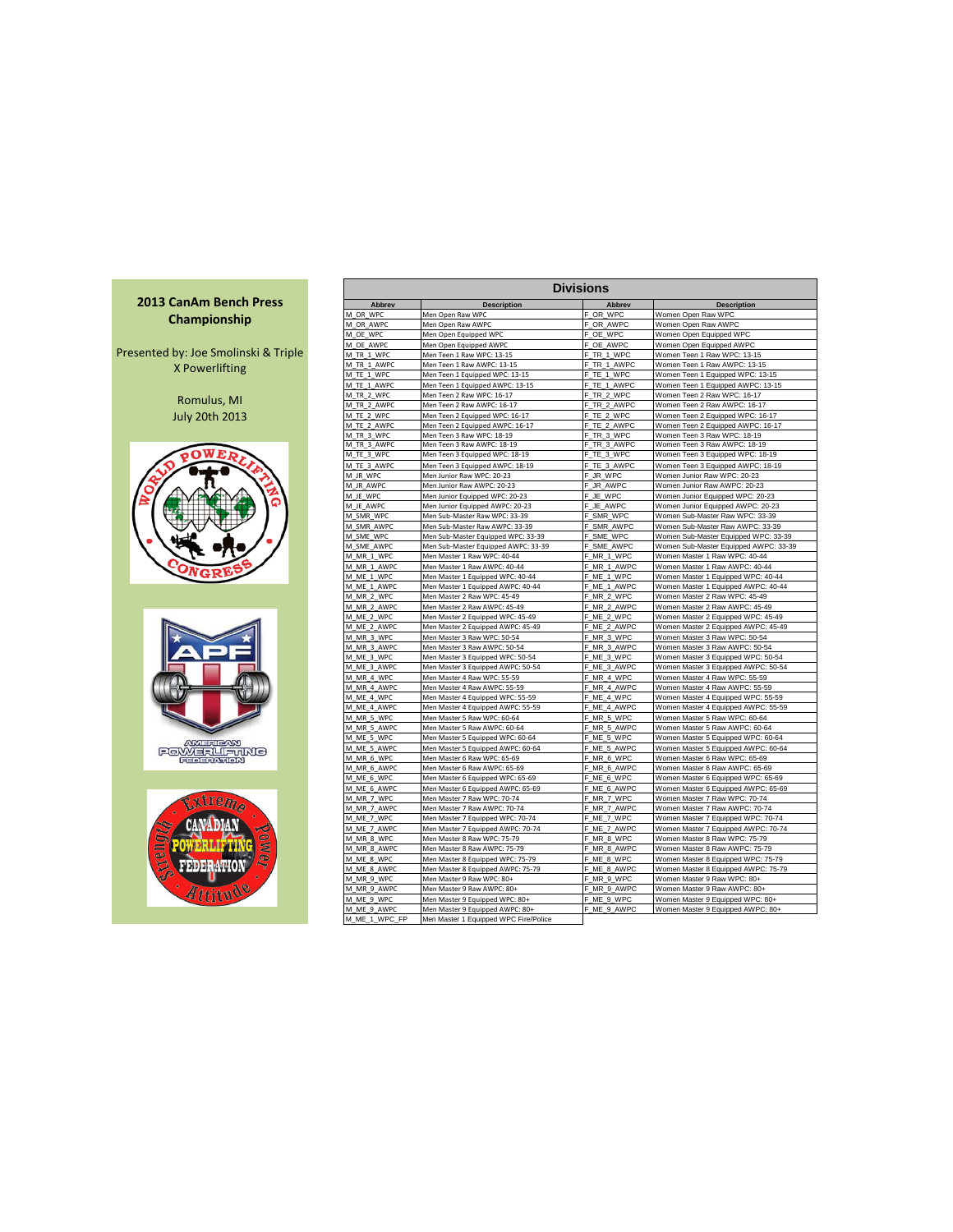## **2013 CanAm Bench Press Championship**

Presented by: Joe Smolinski & Triple X Powerlifting

> Romulus, MI July 20th 2013







| <b>Divisions</b> |                                       |                |                                       |  |  |  |  |  |  |  |  |  |
|------------------|---------------------------------------|----------------|---------------------------------------|--|--|--|--|--|--|--|--|--|
| Abbrev           | <b>Description</b>                    | <b>Abbrev</b>  | <b>Description</b>                    |  |  |  |  |  |  |  |  |  |
| M OR WPC         | Men Open Raw WPC                      | F_OR_WPC       | Women Open Raw WPC                    |  |  |  |  |  |  |  |  |  |
| M OR AWPC        | Men Open Raw AWPC                     | F OR AWPC      | Women Open Raw AWPC                   |  |  |  |  |  |  |  |  |  |
| M OE WPC         | Men Open Equipped WPC                 | F OE WPC       | Women Open Equipped WPC               |  |  |  |  |  |  |  |  |  |
| M OE AWPC        | Men Open Equipped AWPC                | F_OE_AWPC      | Women Open Equipped AWPC              |  |  |  |  |  |  |  |  |  |
| M_TR_1_WPC       | Men Teen 1 Raw WPC: 13-15             | F_TR_1_WPC     | Women Teen 1 Raw WPC: 13-15           |  |  |  |  |  |  |  |  |  |
| M TR 1 AWPC      | Men Teen 1 Raw AWPC: 13-15            | TR 1 AWPC      | Women Teen 1 Raw AWPC: 13-15          |  |  |  |  |  |  |  |  |  |
| M TE 1 WPC       | Men Teen 1 Equipped WPC: 13-15        | TE 1 WPC       | Women Teen 1 Equipped WPC: 13-15      |  |  |  |  |  |  |  |  |  |
| M TE 1 AWPC      | Men Teen 1 Equipped AWPC: 13-15       | F_TE_1_AWPC    | Women Teen 1 Equipped AWPC: 13-15     |  |  |  |  |  |  |  |  |  |
| M TR 2 WPC       | Men Teen 2 Raw WPC: 16-17             | F TR 2 WPC     | Women Teen 2 Raw WPC: 16-17           |  |  |  |  |  |  |  |  |  |
| M TR 2 AWPC      | Men Teen 2 Raw AWPC: 16-17            | TR 2 AWPC<br>F | Women Teen 2 Raw AWPC: 16-17          |  |  |  |  |  |  |  |  |  |
| M_TE_2_WPC       | Men Teen 2 Equipped WPC: 16-17        | F_TE_2_WPC     | Women Teen 2 Equipped WPC: 16-17      |  |  |  |  |  |  |  |  |  |
| M TE 2 AWPC      | Men Teen 2 Equipped AWPC: 16-17       | F TE 2 AWPC    | Women Teen 2 Equipped AWPC: 16-17     |  |  |  |  |  |  |  |  |  |
| M TR 3 WPC       | Men Teen 3 Raw WPC: 18-19             | TR 3 WPC       | Women Teen 3 Raw WPC: 18-19           |  |  |  |  |  |  |  |  |  |
| M_TR_3_AWPC      | Men Teen 3 Raw AWPC: 18-19            | F_TR_3_AWPC    | Women Teen 3 Raw AWPC: 18-19          |  |  |  |  |  |  |  |  |  |
| M_TE_3_WPC       | Men Teen 3 Equipped WPC: 18-19        | F_TE_3_WPC     | Women Teen 3 Equipped WPC: 18-19      |  |  |  |  |  |  |  |  |  |
| M TE 3 AWPC      | Men Teen 3 Equipped AWPC: 18-19       | F TE 3 AWPC    | Women Teen 3 Equipped AWPC: 18-19     |  |  |  |  |  |  |  |  |  |
| M JR WPC         | Men Junior Raw WPC: 20-23             | JR WPC<br>F    | Women Junior Raw WPC: 20-23           |  |  |  |  |  |  |  |  |  |
| M JR AWPC        | Men Junior Raw AWPC: 20-23            | JR AWPC<br>F   | Women Junior Raw AWPC: 20-23          |  |  |  |  |  |  |  |  |  |
| M JE WPC         | Men Junior Equipped WPC: 20-23        | JE WPC<br>F.   | Women Junior Equipped WPC: 20-23      |  |  |  |  |  |  |  |  |  |
| M JE AWPC        | Men Junior Equipped AWPC: 20-23       | F JE AWPC      | Women Junior Equipped AWPC: 20-23     |  |  |  |  |  |  |  |  |  |
| M SMR WPC        | Men Sub-Master Raw WPC: 33-39         | F_SMR_WPC      | Women Sub-Master Raw WPC: 33-39       |  |  |  |  |  |  |  |  |  |
| M_SMR_AWPC       | Men Sub-Master Raw AWPC: 33-39        | F SMR AWPC     | Women Sub-Master Raw AWPC: 33-39      |  |  |  |  |  |  |  |  |  |
| M SME WPC        | Men Sub-Master Equipped WPC: 33-39    | F SME WPC      | Women Sub-Master Equipped WPC: 33-39  |  |  |  |  |  |  |  |  |  |
| M SME AWPC       | Men Sub-Master Equipped AWPC: 33-39   | SME AWPC       | Women Sub-Master Equipped AWPC: 33-39 |  |  |  |  |  |  |  |  |  |
| M_MR_1_WPC       | Men Master 1 Raw WPC: 40-44           | F_MR_1_WPC     | Women Master 1 Raw WPC: 40-44         |  |  |  |  |  |  |  |  |  |
| M MR 1 AWPC      | Men Master 1 Raw AWPC: 40-44          | F_MR_1_AWPC    | Women Master 1 Raw AWPC: 40-44        |  |  |  |  |  |  |  |  |  |
| M ME 1 WPC       | Men Master 1 Equipped WPC: 40-44      | F_ME_1_WPC     | Women Master 1 Equipped WPC: 40-44    |  |  |  |  |  |  |  |  |  |
| M ME 1 AWPC      | Men Master 1 Equipped AWPC: 40-44     | F ME 1 AWPC    | Women Master 1 Equipped AWPC: 40-44   |  |  |  |  |  |  |  |  |  |
| M_MR_2_WPC       | Men Master 2 Raw WPC: 45-49           | F_MR_2_WPC     | Women Master 2 Raw WPC: 45-49         |  |  |  |  |  |  |  |  |  |
| M MR 2 AWPC      | Men Master 2 Raw AWPC: 45-49          | F MR 2 AWPC    | Women Master 2 Raw AWPC: 45-49        |  |  |  |  |  |  |  |  |  |
| M ME 2 WPC       | Men Master 2 Equipped WPC: 45-49      | F_ME_2_WPC     | Women Master 2 Equipped WPC: 45-49    |  |  |  |  |  |  |  |  |  |
| M ME 2 AWPC      | Men Master 2 Equipped AWPC: 45-49     | F_ME_2_AWPC    | Women Master 2 Equipped AWPC: 45-49   |  |  |  |  |  |  |  |  |  |
| M_MR_3_WPC       | Men Master 3 Raw WPC: 50-54           | F_MR_3_WPC     | Women Master 3 Raw WPC: 50-54         |  |  |  |  |  |  |  |  |  |
| M MR 3 AWPC      | Men Master 3 Raw AWPC: 50-54          | F_MR_3_AWPC    | Women Master 3 Raw AWPC: 50-54        |  |  |  |  |  |  |  |  |  |
| M_ME_3_WPC       | Men Master 3 Equipped WPC: 50-54      | F ME 3 WPC     | Women Master 3 Equipped WPC: 50-54    |  |  |  |  |  |  |  |  |  |
| M ME 3 AWPC      | Men Master 3 Equipped AWPC: 50-54     | F_ME_3_AWPC    | Women Master 3 Equipped AWPC: 50-54   |  |  |  |  |  |  |  |  |  |
| M MR 4 WPC       | Men Master 4 Raw WPC: 55-59           | F MR 4 WPC     | Women Master 4 Raw WPC: 55-59         |  |  |  |  |  |  |  |  |  |
| M MR 4 AWPC      | Men Master 4 Raw AWPC: 55-59          | F_MR_4_AWPC    | Women Master 4 Raw AWPC: 55-59        |  |  |  |  |  |  |  |  |  |
| M ME 4 WPC       | Men Master 4 Equipped WPC: 55-59      | F ME 4 WPC     | Women Master 4 Equipped WPC: 55-59    |  |  |  |  |  |  |  |  |  |
| M ME 4 AWPC      | Men Master 4 Equipped AWPC: 55-59     | F ME 4 AWPC    | Women Master 4 Equipped AWPC: 55-59   |  |  |  |  |  |  |  |  |  |
| M MR 5 WPC       | Men Master 5 Raw WPC: 60-64           | MR 5 WPC       | Women Master 5 Raw WPC: 60-64         |  |  |  |  |  |  |  |  |  |
| M_MR_5_AWPC      | Men Master 5 Raw AWPC: 60-64          | F_MR_5_AWPC    | Women Master 5 Raw AWPC: 60-64        |  |  |  |  |  |  |  |  |  |
| M ME 5 WPC       | Men Master 5 Equipped WPC: 60-64      | F ME 5 WPC     | Women Master 5 Equipped WPC: 60-64    |  |  |  |  |  |  |  |  |  |
| M ME 5 AWPC      | Men Master 5 Equipped AWPC: 60-64     | F ME 5 AWPC    | Women Master 5 Equipped AWPC: 60-64   |  |  |  |  |  |  |  |  |  |
| M MR 6 WPC       | Men Master 6 Raw WPC: 65-69           | F MR 6 WPC     | Women Master 6 Raw WPC: 65-69         |  |  |  |  |  |  |  |  |  |
| M MR 6 AWPC      | Men Master 6 Raw AWPC: 65-69          | F MR 6 AWPC    | Women Master 6 Raw AWPC: 65-69        |  |  |  |  |  |  |  |  |  |
| M ME 6 WPC       | Men Master 6 Equipped WPC: 65-69      | F ME 6 WPC     | Women Master 6 Equipped WPC: 65-69    |  |  |  |  |  |  |  |  |  |
| M ME 6 AWPC      | Men Master 6 Equipped AWPC: 65-69     | F ME 6 AWPC    | Women Master 6 Equipped AWPC: 65-69   |  |  |  |  |  |  |  |  |  |
| M MR 7 WPC       | Men Master 7 Raw WPC: 70-74           | F_MR_7_WPC     | Women Master 7 Raw WPC: 70-74         |  |  |  |  |  |  |  |  |  |
| M_MR_7_AWPC      | Men Master 7 Raw AWPC: 70-74          | F_MR_7_AWPC    | Women Master 7 Raw AWPC: 70-74        |  |  |  |  |  |  |  |  |  |
| M ME 7 WPC       | Men Master 7 Equipped WPC: 70-74      | F ME 7 WPC     | Women Master 7 Equipped WPC: 70-74    |  |  |  |  |  |  |  |  |  |
| M ME 7 AWPC      | Men Master 7 Equipped AWPC: 70-74     | F ME 7 AWPC    | Women Master 7 Equipped AWPC: 70-74   |  |  |  |  |  |  |  |  |  |
| M MR 8 WPC       | Men Master 8 Raw WPC: 75-79           | F_MR_8_WPC     | Women Master 8 Raw WPC: 75-79         |  |  |  |  |  |  |  |  |  |
| M MR 8 AWPC      | Men Master 8 Raw AWPC: 75-79          | F MR 8 AWPC    | Women Master 8 Raw AWPC: 75-79        |  |  |  |  |  |  |  |  |  |
| M ME 8 WPC       | Men Master 8 Equipped WPC: 75-79      | F ME 8 WPC     | Women Master 8 Equipped WPC: 75-79    |  |  |  |  |  |  |  |  |  |
| M ME 8 AWPC      | Men Master 8 Equipped AWPC: 75-79     | F_ME_8_AWPC    | Women Master 8 Equipped AWPC: 75-79   |  |  |  |  |  |  |  |  |  |
| M MR 9 WPC       | Men Master 9 Raw WPC: 80+             | F MR 9 WPC     | Women Master 9 Raw WPC: 80+           |  |  |  |  |  |  |  |  |  |
| M MR 9 AWPC      | Men Master 9 Raw AWPC: 80+            | MR 9 AWPC      | Women Master 9 Raw AWPC: 80+          |  |  |  |  |  |  |  |  |  |
| M_ME_9_WPC       | Men Master 9 Equipped WPC: 80+        | F_ME_9_WPC     | Women Master 9 Equipped WPC: 80+      |  |  |  |  |  |  |  |  |  |
| M ME 9 AWPC      | Men Master 9 Equipped AWPC: 80+       | F_ME_9_AWPC    | Women Master 9 Equipped AWPC: 80+     |  |  |  |  |  |  |  |  |  |
| M_ME_1_WPC_FP    | Men Master 1 Equipped WPC Fire/Police |                |                                       |  |  |  |  |  |  |  |  |  |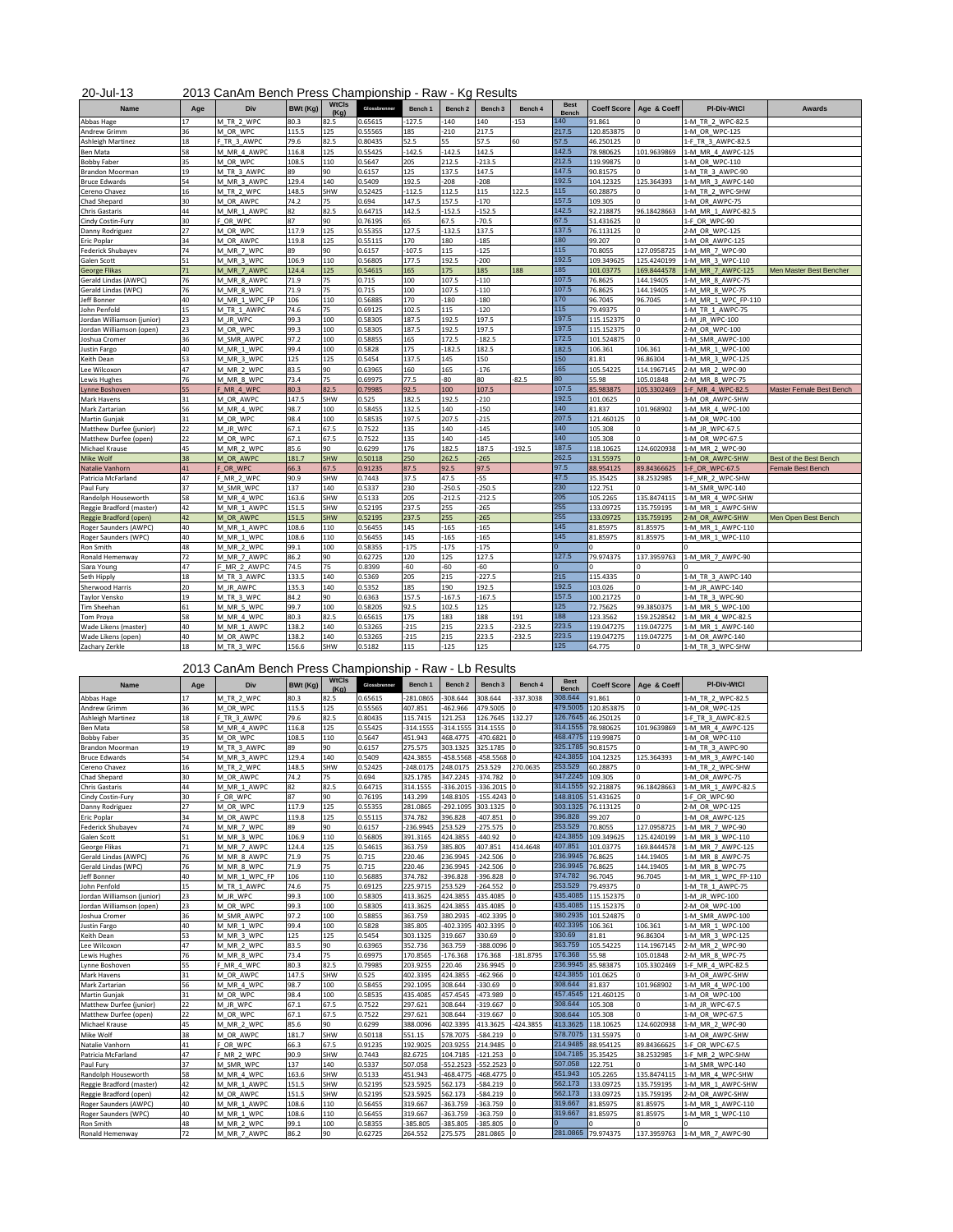## 20-Jul-13 2013 CanAm Bench Press Championship - Raw - Kg Results

| <b>Name</b>                | Age | Div           | BWt (Kg) | <b>WtCls</b><br>(Ka) | Glossbrenner | Bench 1  | Bench <sub>2</sub> | Bench 3  | Bench 4  | <b>Best</b><br><b>Bench</b> | <b>Coeff Score</b> | Age & Coeff  | <b>PI-Div-WtCl</b>  | Awards                        |
|----------------------------|-----|---------------|----------|----------------------|--------------|----------|--------------------|----------|----------|-----------------------------|--------------------|--------------|---------------------|-------------------------------|
| Abbas Hage                 | 17  | M TR 2 WPC    | 80.3     | 82.5                 | 0.65615      | $-127.5$ | $-140$             | 140      | $-153$   | 140                         | 91.861             |              | 1-M TR 2 WPC-82.5   |                               |
| <b>Andrew Grimm</b>        | 36  | M OR WPC      | 115.5    | 125                  | 0.55565      | 185      | $-210$             | 217.5    |          | 217.5                       | 120.853875         |              | 1-M OR WPC-125      |                               |
| Ashleigh Martinez          | 18  | F TR 3 AWPC   | 79.6     | 82.5                 | 0.80435      | 52.5     | 55                 | 57.5     | 60       | 57.5                        | 46.250125          |              | 1-F TR_3_AWPC-82.5  |                               |
| <b>Ben Mata</b>            | 58  | M MR 4 AWPC   | 116.8    | 125                  | 0.55425      | $-142.5$ | $-142.5$           | 142.5    |          | 142.5                       | 78.980625          | 101.9639869  | 1-M MR 4 AWPC-125   |                               |
| <b>Bobby Faber</b>         | 35  | M OR WPC      | 108.5    | 110                  | 0.5647       | 205      | 212.5              | $-213.5$ |          | 212.5                       | 119.99875          |              | 1-M OR WPC-110      |                               |
| Brandon Moorman            | 19  | M TR 3 AWPC   | 89       | 90                   | 0.6157       | 125      | 137.5              | 147.5    |          | 147.5                       | 90.81575           |              | L-M TR 3 AWPC-90    |                               |
| <b>Bruce Edwards</b>       | 54  | M MR 3 AWPC   | 129.4    | 140                  | 0.5409       | 192.5    | $-208$             | $-208$   |          | 192.5                       | 104.12325          | 125.364393   | 1-M MR 3 AWPC-140   |                               |
| Cereno Chavez              | 16  | M TR 2 WPC    | 148.5    | SHW                  | 0.52425      | $-112.5$ | 112.5              | 115      | 122.5    | 115                         | 60.28875           |              | 1-M TR 2 WPC-SHW    |                               |
| Chad Shepard               | 30  | M OR AWPC     | 74.2     | 75                   | 0.694        | 147.5    | 157.5              | $-170$   |          | 157.5                       | 109.305            |              | 1-M OR AWPC-75      |                               |
| Chris Gastaris             | 44  | M MR 1 AWPC   | 82       | 82.5                 | 0.64715      | 142.5    | $-152.5$           | $-152.5$ |          | 142.5                       | 92.218875          | 96.18428663  | 1-M MR 1 AWPC-82.5  |                               |
| Cindy Costin-Fury          | 30  | F OR WPC      | 87       | 90                   | 0.76195      | 65       | 67.5               | $-70.5$  |          | 67.5                        | 51.431625          |              | 1-F OR WPC-90       |                               |
| Danny Rodriguez            | 27  | M OR WPC      | 117.9    | 125                  | 0.55355      | 127.5    | $-132.5$           | 137.5    |          | 137.5                       | 76.113125          |              | 2-M OR WPC-125      |                               |
| <b>Eric Poplar</b>         | 34  | M OR_AWPC     | 119.8    | 125                  | 0.55115      | 170      | 180                | $-185$   |          | 180                         | 99.207             |              | 1-M OR AWPC-125     |                               |
| Federick Shubayev          | 74  | M MR 7 WPC    | 89       | 90                   | 0.6157       | 107.5    | 115                | $-125$   |          | 115                         | 70.8055            | 127.0958725  | 1-M MR 7 WPC-90     |                               |
| Galen Scott                | 51  | M MR 3 WPC    | 106.9    | 110                  | 0.56805      | 177.5    | 192.5              | $-200$   |          | 192.5                       | 109.349625         | 125.4240199  | 1-M MR 3 WPC-110    |                               |
| <b>George Flikas</b>       | 71  | M MR 7 AWPC   | 124.4    | 125                  | 0.54615      | 165      | 175                | 185      | 188      | 185                         | 101.03775          | 169.8444578  | 1-M MR 7 AWPC-125   | Men Master Best Bencher       |
| Gerald Lindas (AWPC)       | 76  | M_MR_8_AWPC   | 71.9     | 75                   | 0.715        | 100      | 107.5              | $-110$   |          | 107.5                       | 76.8625            | 144.19405    | 1-M MR 8 AWPC-75    |                               |
| Gerald Lindas (WPC)        | 76  | M MR 8 WPC    | 71.9     | 75                   | 0.715        | 100      | 107.5              | $-110$   |          | 107.5                       | 76.8625            | 144.19405    | 1-M MR 8 WPC-75     |                               |
| Jeff Bonner                | 40  | M_MR_1_WPC_FP | 106      | 110                  | 0.56885      | 170      | $-180$             | $-180$   |          | 170                         | 96.7045            | 96.7045      | 1-M MR 1 WPC FP-110 |                               |
| John Penfold               | 15  | M_TR_1_AWPC   | 74.6     | 75                   | 0.69125      | 102.5    | 115                | $-120$   |          | 115                         | 79.49375           |              | 1-M TR 1 AWPC-75    |                               |
| Jordan Williamson (junior) | 23  | M JR WPC      | 99.3     | 100                  | 0.58305      | 187.5    | 192.5              | 197.5    |          | 197.5                       | 115.152375         |              | 1-M JR WPC-100      |                               |
| Jordan Williamson (open)   | 23  | M_OR_WPC      | 99.3     | 100                  | 0.58305      | 187.5    | 192.5              | 197.5    |          | 197.5                       | 115.152375         |              | 2-M_OR_WPC-100      |                               |
| Joshua Cromer              | 36  | M SMR AWPC    | 97.2     | 100                  | 0.58855      | 165      | 172.5              | $-182.5$ |          | 172.5                       | 101.524875         |              | 1-M SMR AWPC-100    |                               |
| Justin Fargo               | 40  | M MR 1 WPC    | 99.4     | 100                  | 0.5828       | 175      | $-182.5$           | 182.5    |          | 182.5                       | 106.361            | 106.361      | 1-M MR 1 WPC-100    |                               |
| Keith Dean                 | 53  | M_MR_3_WPC    | 125      | 125                  | 0.5454       | 137.5    | 145                | 150      |          | 150                         | 81.81              | 96.86304     | 1-M MR 3 WPC-125    |                               |
| Lee Wilcoxon               | 47  | M MR 2 WPC    | 83.5     | 90                   | 0.63965      | 160      | 165                | $-176$   |          | 165                         | 105.54225          | 114.1967145  | 2-M MR 2 WPC-90     |                               |
| Lewis Hughes               | 76  | M MR 8 WPC    | 73.4     | 75                   | 0.69975      | 77.5     | $-80$              | 80       | $-82.5$  | 80                          | 55.98              | 105.01848    | 2-M MR 8 WPC-75     |                               |
| Lynne Boshoven             | 55  | F MR 4 WPC    | 80.3     | 82.5                 | 0.79985      | 92.5     | 100                | 107.5    |          | 107.5                       | 85.983875          | 105.3302469  | 1-F MR 4 WPC-82.5   | Master Female Best Bench      |
| Mark Havens                | 31  | M OR AWPC     | 147.5    | SHW                  | 0.525        | 182.5    | 192.5              | $-210$   |          | 192.5                       | 101.0625           |              | 3-M OR AWPC-SHW     |                               |
| Mark Zartarian             | 56  | M MR 4 WPC    | 98.7     | 100                  | 0.58455      | 132.5    | 140                | $-150$   |          | 140                         | 81.837             | 101.968902   | 1-M MR 4 WPC-100    |                               |
| Martin Gunjak              | 31  | M_OR_WPC      | 98.4     | 100                  | 0.58535      | 197.5    | 207.5              | $-215$   |          | 207.5                       | 121.460125         |              | 1-M OR WPC-100      |                               |
| Matthew Durfee (junior)    | 22  | M JR WPC      | 67.1     | 67.5                 | 0.7522       | 135      | 140                | $-145$   |          | 140                         | 105.308            | <sub>n</sub> | 1-M JR WPC-67.5     |                               |
| Matthew Durfee (open)      | 22  | M OR WPC      | 67.1     | 67.5                 | 0.7522       | 135      | 140                | $-145$   |          | 140                         | 105.308            |              | 1-M OR WPC-67.5     |                               |
| Michael Krause             | 45  | M MR_2_WPC    | 85.6     | 90                   | 0.6299       | 176      | 182.5              | 187.5    | $-192.5$ | 187.5                       | 118.10625          | 124.6020938  | 1-M MR 2 WPC-90     |                               |
| Mike Wolf                  | 38  | M OR AWPC     | 181.7    | <b>SHW</b>           | 0.50118      | 250      | 262.5              | $-265$   |          | 262.5                       | 131.55975          |              | 1-M OR AWPC-SHW     | <b>Best of the Best Bench</b> |
| Natalie Vanhorn            | 41  | OR WPC        | 66.3     | 67.5                 | 0.91235      | 87.5     | 92.5               | 97.5     |          | 97.5                        | 88.954125          | 89.84366625  | 1-F OR WPC-67.5     | Female Best Bench             |
| Patricia McFarland         | 47  | F MR 2 WPC    | 90.9     | SHW                  | 0.7443       | 37.5     | 47.5               | $-55$    |          | 47.5                        | 35.35425           | 38.2532985   | 1-F MR 2 WPC-SHW    |                               |
| Paul Fury                  | 37  | M SMR WPC     | 137      | 140                  | 0.5337       | 230      | $-250.5$           | $-250.5$ |          | 230                         | 122.751            |              | 1-M SMR WPC-140     |                               |
| Randolph Houseworth        | 58  | M MR 4 WPC    | 163.6    | SHW                  | 0.5133       | 205      | $-212.5$           | $-212.5$ |          | 205                         | 105.2265           | 135.8474115  | 1-M MR 4 WPC-SHW    |                               |
| Reggie Bradford (master)   | 42  | M MR 1 AWPC   | 151.5    | SHW                  | 0.52195      | 237.5    | 255                | $-265$   |          | 255                         | 133.09725          | 135.759195   | L-M MR 1 AWPC-SHW   |                               |
| Reggie Bradford (open)     | 42  | M OR AWPC     | 151.5    | <b>SHW</b>           | 0.52195      | 237.5    | 255                | $-265$   |          | 255                         | 133.09725          | 135.759195   | 2-M OR AWPC-SHW     | Men Open Best Bench           |
| Roger Saunders (AWPC)      | 40  | M MR 1 AWPC   | 108.6    | 110                  | 0.56455      | 145      | $-165$             | $-165$   |          | 145                         | 81.85975           | 31.85975     | L-M MR 1 AWPC-110   |                               |
| Roger Saunders (WPC)       | 40  | M MR 1 WPC    | 108.6    | 110                  | 0.56455      | 145      | $-165$             | $-165$   |          | 145                         | 81.85975           | 81.85975     | 1-M MR 1 WPC-110    |                               |
| Ron Smith                  | 48  | M_MR_2_WPC    | 99.1     | 100                  | 0.58355      | $-175$   | $-175$             | $-175$   |          | Ō                           |                    |              |                     |                               |
| Ronald Hemenway            | 72  | M MR 7 AWPC   | 86.2     | 90                   | 0.62725      | 120      | 125                | 127.5    |          | 127.5                       | 79.974375          | 137.3959763  | 1-M MR 7 AWPC-90    |                               |
| Sara Young                 | 47  | F_MR_2_AWPC   | 74.5     | 75                   | 0.8399       | $-60$    | $-60$              | $-60$    |          |                             |                    |              |                     |                               |
| Seth Hipply                | 18  | M_TR_3_AWPC   | 133.5    | 140                  | 0.5369       | 205      | 215                | $-227.5$ |          | 215                         | 115.4335           |              | 1-M_TR_3_AWPC-140   |                               |
| <b>Sherwood Harris</b>     | 20  | M JR AWPC     | 135.3    | 140                  | 0.5352       | 185      | 190                | 192.5    |          | 192.5                       | 103.026            |              | 1-M JR AWPC-140     |                               |
| <b>Taylor Vensko</b>       | 19  | M TR 3 WPC    | 84.2     | 90                   | 0.6363       | 157.5    | $-167.5$           | $-167.5$ |          | 157.5                       | 100.21725          |              | 1-M TR 3 WPC-90     |                               |
| Tim Sheehan                | 61  | M MR_5_WPC    | 99.7     | 100                  | 0.58205      | 92.5     | 102.5              | 125      |          | 125                         | 72.75625           | 99.3850375   | 1-M MR 5 WPC-100    |                               |
| Tom Proya                  | 58  | M MR 4 WPC    | 80.3     | 82.5                 | 0.65615      | 175      | 183                | 188      | 191      | 188                         | 123.3562           | 159.2528542  | 1-M MR 4 WPC-82.5   |                               |
| Wade Likens (master)       | 40  | M MR 1 AWPC   | 138.2    | 140                  | 0.53265      | $-215$   | 215                | 223.5    | $-232.5$ | 223.5                       | 119.047275         | 119.047275   | 1-M MR 1 AWPC-140   |                               |
| Wade Likens (open)         | 40  | M OR AWPC     | 138.2    | 140                  | 0.53265      | $-215$   | 215                | 223.5    | $-232.5$ | 223.5                       | 119.047275         | 119.047275   | 1-M OR AWPC-140     |                               |
| Zachary Zerkle             | 18  | M_TR_3_WPC    | 156.6    | SHW                  | 0.5182       | 115      | $-125$             | 125      |          | 125                         | 64.775             |              | 1-M_TR_3_WPC-SHW    |                               |

2013 CanAm Bench Press Championship - Raw - Lb Results

|                            | --- | <u>oun in Donon i ivoo</u> |          |                      | <u>ununpronomp</u> |             |                    | --------           |              |                             |                    |             |                     |
|----------------------------|-----|----------------------------|----------|----------------------|--------------------|-------------|--------------------|--------------------|--------------|-----------------------------|--------------------|-------------|---------------------|
| <b>Name</b>                | Age | Div                        | BWt (Kg) | <b>WtCls</b><br>(Ka) | Glossbrenner       | Bench 1     | Bench <sub>2</sub> | Bench <sub>3</sub> | Bench 4      | <b>Best</b><br><b>Bench</b> | <b>Coeff Score</b> | Age & Coeff | <b>PI-Div-WtCl</b>  |
| Abbas Hage                 | 17  | M TR 2 WPC                 | 80.3     | 82.5                 | 0.65615            | $-281.0865$ | $-308.644$         | 308.644            | -337.3038    | 308.644                     | 91.861             |             | 1-M TR 2 WPC-82.5   |
| <b>Andrew Grimm</b>        | 36  | M OR WPC                   | 115.5    | 125                  | 0.55565            | 407.851     | $-462.966$         | 479.5005           | $\Omega$     | 479.5005                    | 120.853875         | $\Omega$    | 1-M OR WPC-125      |
| Ashleigh Martinez          | 18  | F TR 3 AWPC                | 79.6     | 82.5                 | 0.80435            | 115.7415    | 121.253            | 126.7645           | 132.27       | 126.7645                    | 46.250125          |             | 1-F TR 3 AWPC-82.5  |
| Ben Mata                   | 58  | M MR 4 AWPC                | 116.8    | 125                  | 0.55425            | $-314.1555$ | $-314.1555$        | 314.1555           | $\mathbf{0}$ | 314.1555                    | 78.980625          | 101.9639869 | 1-M MR 4 AWPC-125   |
| <b>Bobby Faber</b>         | 35  | M OR WPC                   | 108.5    | 110                  | 0.5647             | 451.943     | 468.4775           | $-470.6821$        | $\Omega$     | 468.4775                    | 119.99875          | n           | 1-M OR WPC-110      |
| Brandon Moorman            | 19  | M TR 3 AWPC                | 89       | 90                   | 0.6157             | 275.575     | 303.1325           | 325.1785           | $\Omega$     | 325.1785                    | 90.81575           |             | 1-M TR 3 AWPC-90    |
| <b>Bruce Edwards</b>       | 54  | M MR 3 AWPC                | 129.4    | 140                  | 0.5409             | 424.3855    | $-458.5568$        | 458.5568           | $\Omega$     | 424.3855                    | 104.12325          | 125.364393  | 1-M MR 3 AWPC-140   |
| Cereno Chavez              | 16  | M TR 2 WPC                 | 148.5    | SHW                  | 0.52425            | $-248.0175$ | 248.0175           | 253.529            | 270.0635     | 253.529                     | 60.28875           | $\Omega$    | 1-M TR 2 WPC-SHW    |
| Chad Shepard               | 30  | M OR AWPC                  | 74.2     | 75                   | 0.694              | 325.1785    | 347.2245           | $-374.782$         | $\mathbf{0}$ | 347.2245                    | 109.305            |             | 1-M OR AWPC-75      |
| Chris Gastaris             | 44  | M MR 1 AWPC                | 82       | 82.5                 | 0.64715            | 314.1555    | $-336.2015$        | $-336.2015$        | $\Omega$     | 314.1555                    | 92.218875          | 96.18428663 | 1-M MR 1 AWPC-82.5  |
| Cindy Costin-Fury          | 30  | F OR WPC                   | 87       | 90                   | 0.76195            | 143.299     | 148.8105           | $-155.4243$        | $\Omega$     | 148.8105                    | 51.431625          |             | 1-F OR WPC-90       |
| Danny Rodriguez            | 27  | M OR WPC                   | 117.9    | 125                  | 0.55355            | 281.0865    | $-292.1095$        | 303.1325           | $\Omega$     | 303.1325                    | 76.113125          |             | 2-M OR WPC-125      |
| Eric Poplar                | 34  | M OR AWPC                  | 119.8    | 125                  | 0.55115            | 374.782     | 396.828            | 407.851            | $\mathbf{0}$ | 396.828                     | 99.207             | $\Omega$    | 1-M OR AWPC-125     |
| Federick Shubayev          | 74  | M MR 7 WPC                 | 89       | 90                   | 0.6157             | $-236.9945$ | 253.529            | $-275.575$         | $\Omega$     | 253.529                     | 70.8055            | 127.0958725 | 1-M MR 7 WPC-90     |
| Galen Scott                | 51  | M MR 3 WPC                 | 106.9    | 110                  | 0.56805            | 391.3165    | 424.3855           | $-440.92$          | n            | 424.3855                    | 109.349625         | 125.4240199 | 1-M MR 3 WPC-110    |
| George Flikas              | 71  | M MR 7 AWPC                | 124.4    | 125                  | 0.54615            | 363.759     | 385.805            | 407.851            | 414.4648     | 407.851                     | 101.03775          | 169.8444578 | 1-M MR 7 AWPC-125   |
| Gerald Lindas (AWPC)       | 76  | M MR 8 AWPC                | 71.9     | 75                   | 0.715              | 220.46      | 236.9945           | $-242.506$         | $\Omega$     | 236.9945                    | 76.8625            | 144.19405   | 1-M MR 8 AWPC-75    |
| Gerald Lindas (WPC)        | 76  | M MR 8 WPC                 | 71.9     | 75                   | 0.715              | 220.46      | 236.9945           | $-242.506$         | $\Omega$     | 236.9945                    | 76.8625            | 144.19405   | 1-M MR 8 WPC-75     |
| Jeff Bonner                | 40  | M MR 1 WPC FP              | 106      | 110                  | 0.56885            | 374.782     | $-396.828$         | -396.828           | $\Omega$     | 374.782                     | 96.7045            | 96.7045     | 1-M MR 1 WPC FP-110 |
| John Penfold               | 15  | M TR 1 AWPC                | 74.6     | 75                   | 0.69125            | 225.9715    | 253.529            | $-264.552$         | $\Omega$     | 253.529                     | 79.49375           |             | 1-M TR 1 AWPC-75    |
| Jordan Williamson (junior) | 23  | M JR WPC                   | 99.3     | 100                  | 0.58305            | 413.3625    | 424.3855           | 435.4085           | $\mathbf{0}$ | 435.4085                    | 115.152375         | n           | 1-M JR WPC-100      |
| Jordan Williamson (open)   | 23  | M OR WPC                   | 99.3     | 100                  | 0.58305            | 413.3625    | 424.3855           | 435.4085           | $\Omega$     | 435.4085                    | 115.152375         |             | 2-M OR WPC-100      |
| Joshua Cromer              | 36  | M SMR AWPC                 | 97.2     | 100                  | 0.58855            | 363.759     | 380.2935           | 402.3395           | $\Omega$     | 380.2935                    | 101.524875         |             | 1-M SMR AWPC-100    |
| Justin Fargo               | 40  | M MR 1 WPC                 | 99.4     | 100                  | 0.5828             | 385.805     | -402.3395          | 402.3395           | $\Omega$     | 402.3395                    | 106.361            | 106.361     | 1-M MR 1 WPC-100    |
| Keith Dean                 | 53  | M MR 3 WPC                 | 125      | 125                  | 0.5454             | 303.1325    | 319.667            | 330.69             | $\Omega$     | 330.69                      | 81.81              | 96.86304    | 1-M MR 3 WPC-125    |
| Lee Wilcoxon               | 47  | M MR 2 WPC                 | 83.5     | 90                   | 0.63965            | 352.736     | 363.759            | 388.0096           | $\Omega$     | 363.759                     | 105.54225          | 114.1967145 | 2-M MR 2 WPC-90     |
| Lewis Hughes               | 76  | M MR 8 WPC                 | 73.4     | 75                   | 0.69975            | 170.8565    | $-176.368$         | 176.368            | $-181.8795$  | 176.368                     | 55.98              | 105.01848   | 2-M MR 8 WPC-75     |
| Lynne Boshoven             | 55  | F MR 4 WPC                 | 80.3     | 82.5                 | 0.79985            | 203.9255    | 220.46             | 236.9945           | n            | 236.9945                    | 85.983875          | 105.3302469 | 1-F MR 4 WPC-82.5   |
| Mark Havens                | 31  | M OR AWPC                  | 147.5    | SHW                  | 0.525              | 402.3395    | 424.3855           | -462.966           | $\Omega$     | 424.3855                    | 101.0625           |             | 3-M OR AWPC-SHW     |
| Mark Zartarian             | 56  | M MR 4 WPC                 | 98.7     | 100                  | 0.58455            | 292.1095    | 308.644            | 330.69             | $\Omega$     | 308.644                     | 81.837             | 101.968902  | 1-M MR 4 WPC-100    |
| Martin Gunjak              | 31  | M OR WPC                   | 98.4     | 100                  | 0.58535            | 435.4085    | 457.4545           | 473.989            | $\Omega$     | 457.4545                    | 121.460125         |             | 1-M OR WPC-100      |
| Matthew Durfee (junior)    | 22  | M JR WPC                   | 67.1     | 67.5                 | 0.7522             | 297.621     | 308.644            | $-319.667$         | $\Omega$     | 308.644                     | 105.308            | $\mathbf 0$ | 1-M JR WPC-67.5     |
| Matthew Durfee (open)      | 22  | M OR WPC                   | 67.1     | 67.5                 | 0.7522             | 297.621     | 308.644            | $-319.667$         | n            | 308.644                     | 105.308            | $\Omega$    | 1-M OR WPC-67.5     |
| Michael Krause             | 45  | M MR 2 WPC                 | 85.6     | 90                   | 0.6299             | 388.0096    | 402.3395           | 413.3625           | $-424.3855$  | 413.3625                    | 118.10625          | 124.6020938 | 1-M MR 2 WPC-90     |
| Mike Wolf                  | 38  | M OR AWPC                  | 181.7    | SHW                  | 0.50118            | 551.15      | 578.7075           | -584.219           | $\Omega$     | 578,7075                    | 131.55975          |             | 1-M OR AWPC-SHW     |
| Natalie Vanhorn            | 41  | F OR WPC                   | 66.3     | 67.5                 | 0.91235            | 192.9025    | 203.9255           | 214.9485           | $\Omega$     | 214.9485                    | 88.954125          | 89.84366625 | 1-F OR WPC-67.5     |
| Patricia McFarland         | 47  | F MR 2 WPC                 | 90.9     | SHW                  | 0.7443             | 82.6725     | 104.7185           | $-121.253$         | $\Omega$     | 104.7185                    | 35.35425           | 38.2532985  | 1-F MR 2 WPC-SHW    |
| Paul Fury                  | 37  | M SMR WPC                  | 137      | 140                  | 0.5337             | 507.058     | $-552.2523$        | $-552.2523$        | 0            | 507.058                     | 122.751            |             | 1-M SMR WPC-140     |
| Randolph Houseworth        | 58  | M MR 4 WPC                 | 163.6    | SHW                  | 0.5133             | 451.943     | $-468.4775$        | $-468.4775$        | $\Omega$     | 451.943                     | 105.2265           | 135.8474115 | 1-M MR 4 WPC-SHW    |
| Reggie Bradford (master)   | 42  | M MR 1 AWPC                | 151.5    | SHW                  | 0.52195            | 523.5925    | 562.173            | -584.219           | $\Omega$     | 562.173                     | 133.09725          | 135.759195  | 1-M MR 1 AWPC-SHW   |
| Reggie Bradford (open)     | 42  | M OR AWPC                  | 151.5    | SHW                  | 0.52195            | 523.5925    | 562.173            | 584.219            | $\Omega$     | 562.173                     | 133.09725          | 135.759195  | 2-M OR AWPC-SHW     |
| Roger Saunders (AWPC)      | 40  | M MR 1 AWPC                | 108.6    | 110                  | 0.56455            | 319.667     | $-363.759$         | 363.759            | $\Omega$     | 319.667                     | 81.85975           | 81.85975    | 1-M MR 1 AWPC-110   |
| Roger Saunders (WPC)       | 40  | M MR 1 WPC                 | 108.6    | 110                  | 0.56455            | 319.667     | -363.759           | -363.759           | $\Omega$     | 319.667                     | 81.85975           | 81.85975    | 1-M MR 1 WPC-110    |
| Ron Smith                  | 48  | M MR 2 WPC                 | 99.1     | 100                  | 0.58355            | $-385.805$  | $-385.805$         | -385.805           | n            |                             |                    |             |                     |
| Ronald Hemenway            | 72  | M MR 7 AWPC                | 86.2     | 90                   | 0.62725            | 264.552     | 275.575            | 281.0865           | <b>n</b>     |                             | 281.0865 79.974375 | 137.3959763 | 1-M MR 7 AWPC-90    |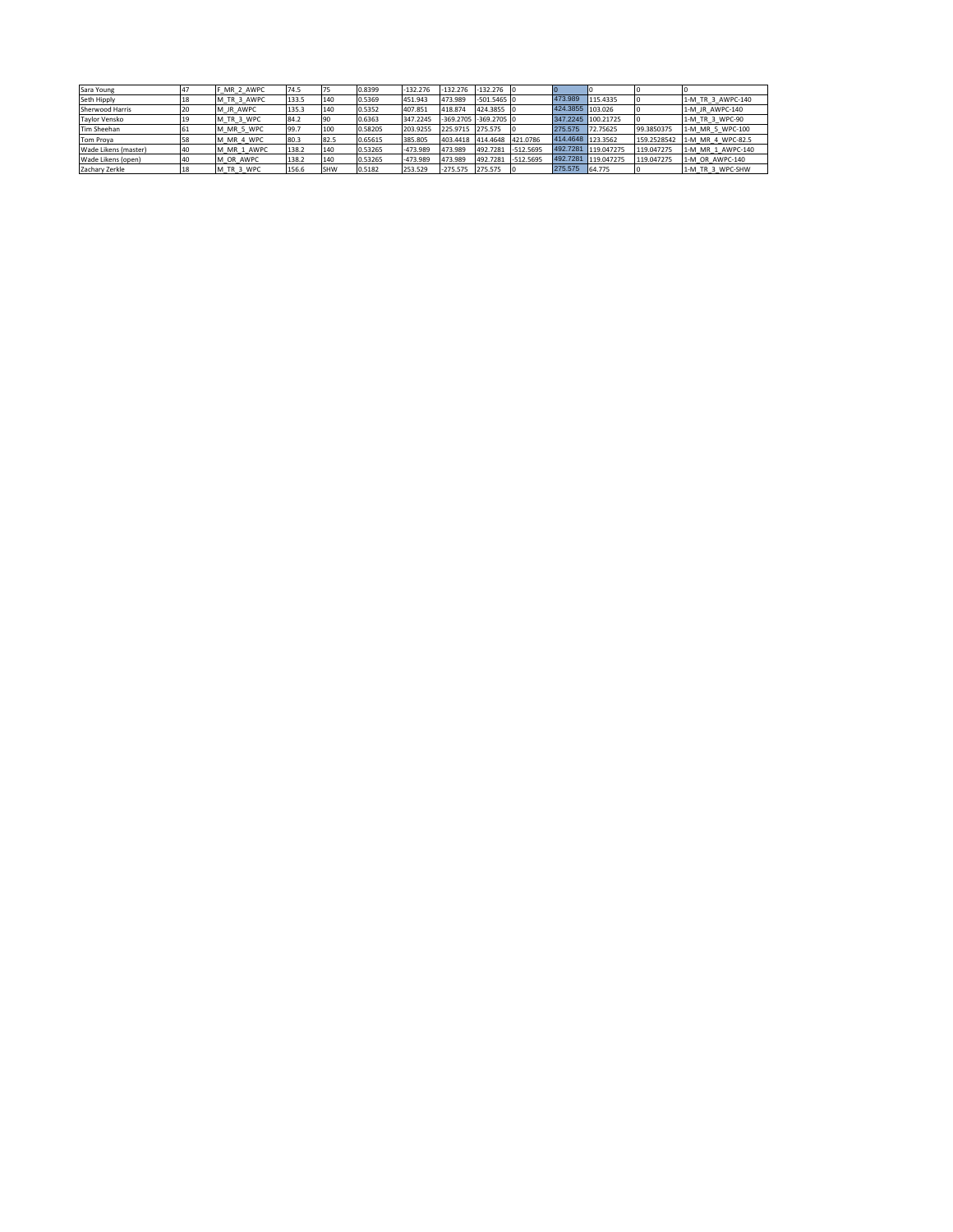| Sara Young             |    | MR 2 AWPC   | 74.5  |            | 0.8399  | $-132.276$ |                  | $-132.276$ $-132.276$ 0   |             |                  |                    |             |                   |
|------------------------|----|-------------|-------|------------|---------|------------|------------------|---------------------------|-------------|------------------|--------------------|-------------|-------------------|
| Seth Hipply            | 18 | M TR 3 AWPC | 133.5 | 140        | 0.5369  | 451.943    | 473.989          | $-501.5465$ 0             |             | 473.989          | 115,4335           |             | 1-M TR 3 AWPC-140 |
| <b>Sherwood Harris</b> | 20 | M JR AWPC   | 135.3 | 140        | 0.5352  | 407.851    | 418.874          | 424.3855 0                |             | 424.3855 103.026 |                    |             | 1-M JR AWPC-140   |
| <b>Taylor Vensko</b>   |    | M TR 3 WPC  | 84.2  | - 190      | 0.6363  | 347.2245   |                  | $-369.2705$ $-369.2705$ 0 |             |                  | 347.2245 100.21725 |             | 1-M TR 3 WPC-90   |
| Tim Sheehan            |    | M MR 5 WPC  | 99.7  | 100        | 0.58205 | 203.9255   | 225.9715 275.575 |                           |             | 275,575          | 72.75625           | 99.3850375  | 1-M MR 5 WPC-100  |
| Tom Proya              | 58 | M MR 4 WPC  | 80.3  | 82.5       | 0.65615 | 385,805    | 403.4418         | 414.4648                  | 421.0786    |                  | 414.4648 123.3562  | 159.2528542 | 1-M MR 4 WPC-82.5 |
| Wade Likens (master)   |    | M MR 1 AWPC | 138.2 | 140        | 0.53265 | $-473.989$ | 473.989          | 492,7281                  | $-512.5695$ | 492.7281         | 119.047275         | 119.047275  | 1-M MR 1 AWPC-140 |
| Wade Likens (open)     |    | M OR AWPC   | 138.2 | 140        | 0.53265 | $-473.989$ | 473.989          | 492,7281                  | $-512.5695$ | 492.7281         | 119.047275         | 119.047275  | 1-M OR AWPC-140   |
| Zachary Zerkle         |    | M TR 3 WPC  | 156.6 | <b>SHW</b> | 0.5182  | 253.529    | $-275.575$       | 275.575                   |             | 275,575          | 64,775             |             | 1-M TR 3 WPC-SHW  |